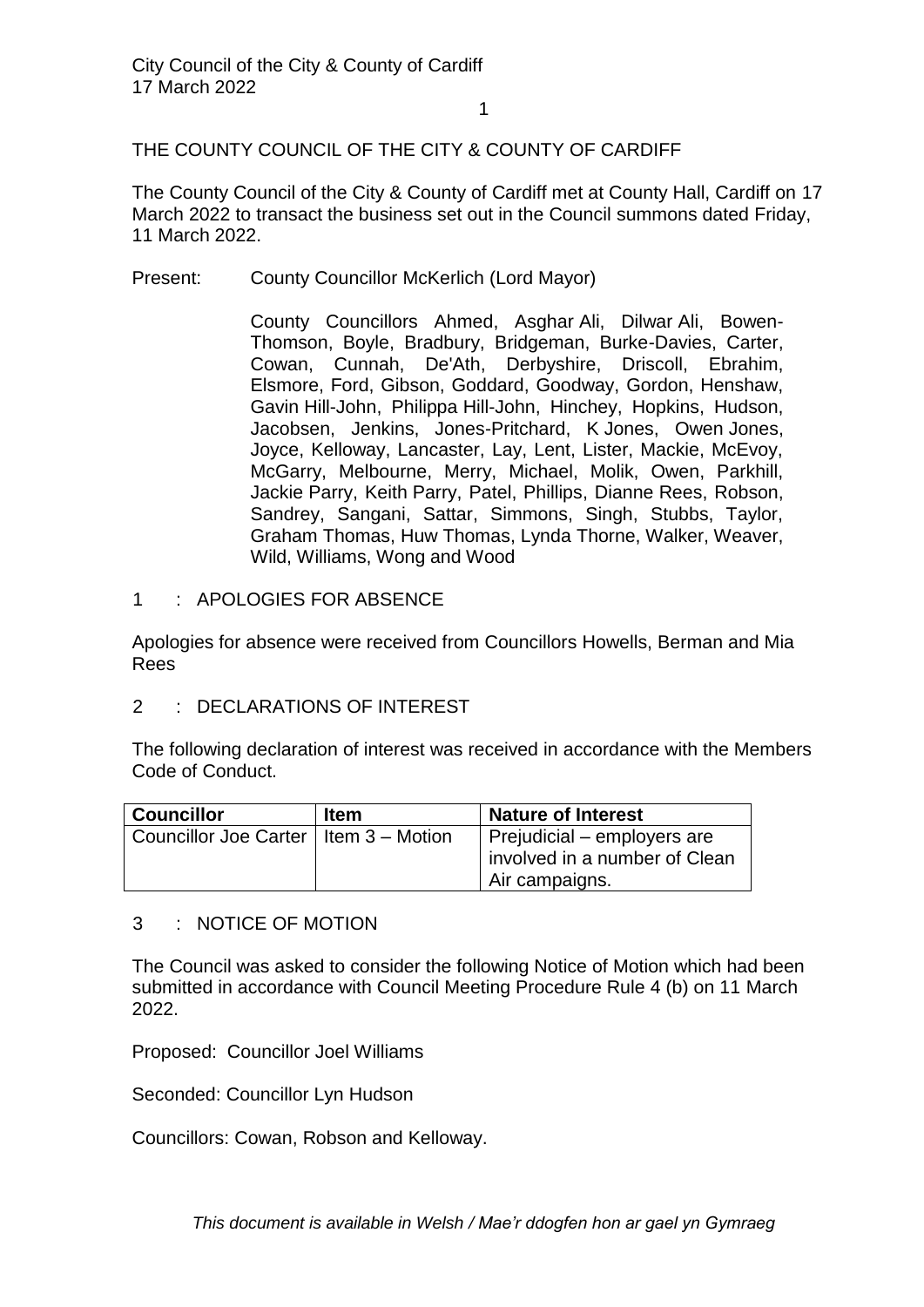# THE COUNTY COUNCIL OF THE CITY & COUNTY OF CARDIFF

The County Council of the City & County of Cardiff met at County Hall, Cardiff on 17 March 2022 to transact the business set out in the Council summons dated Friday, 11 March 2022.

Present: County Councillor McKerlich (Lord Mayor)

County Councillors Ahmed, Asghar Ali, Dilwar Ali, Bowen-Thomson, Boyle, Bradbury, Bridgeman, Burke-Davies, Carter, Cowan, Cunnah, De'Ath, Derbyshire, Driscoll, Ebrahim, Elsmore, Ford, Gibson, Goddard, Goodway, Gordon, Henshaw, Gavin Hill-John, Philippa Hill-John, Hinchey, Hopkins, Hudson, Jacobsen, Jenkins, Jones-Pritchard, K Jones, Owen Jones, Joyce, Kelloway, Lancaster, Lay, Lent, Lister, Mackie, McEvoy, McGarry, Melbourne, Merry, Michael, Molik, Owen, Parkhill, Jackie Parry, Keith Parry, Patel, Phillips, Dianne Rees, Robson, Sandrey, Sangani, Sattar, Simmons, Singh, Stubbs, Taylor, Graham Thomas, Huw Thomas, Lynda Thorne, Walker, Weaver, Wild, Williams, Wong and Wood

1 : APOLOGIES FOR ABSENCE

Apologies for absence were received from Councillors Howells, Berman and Mia Rees

2 : DECLARATIONS OF INTEREST

The following declaration of interest was received in accordance with the Members Code of Conduct.

| <b>Councillor</b>                       | <b>Item</b> | <b>Nature of Interest</b>     |
|-----------------------------------------|-------------|-------------------------------|
| Councillor Joe Carter   Item 3 - Motion |             | Prejudicial – employers are   |
|                                         |             | involved in a number of Clean |
|                                         |             | Air campaigns.                |

3 : NOTICE OF MOTION

The Council was asked to consider the following Notice of Motion which had been submitted in accordance with Council Meeting Procedure Rule 4 (b) on 11 March 2022.

Proposed: Councillor Joel Williams

Seconded: Councillor Lyn Hudson

Councillors: Cowan, Robson and Kelloway.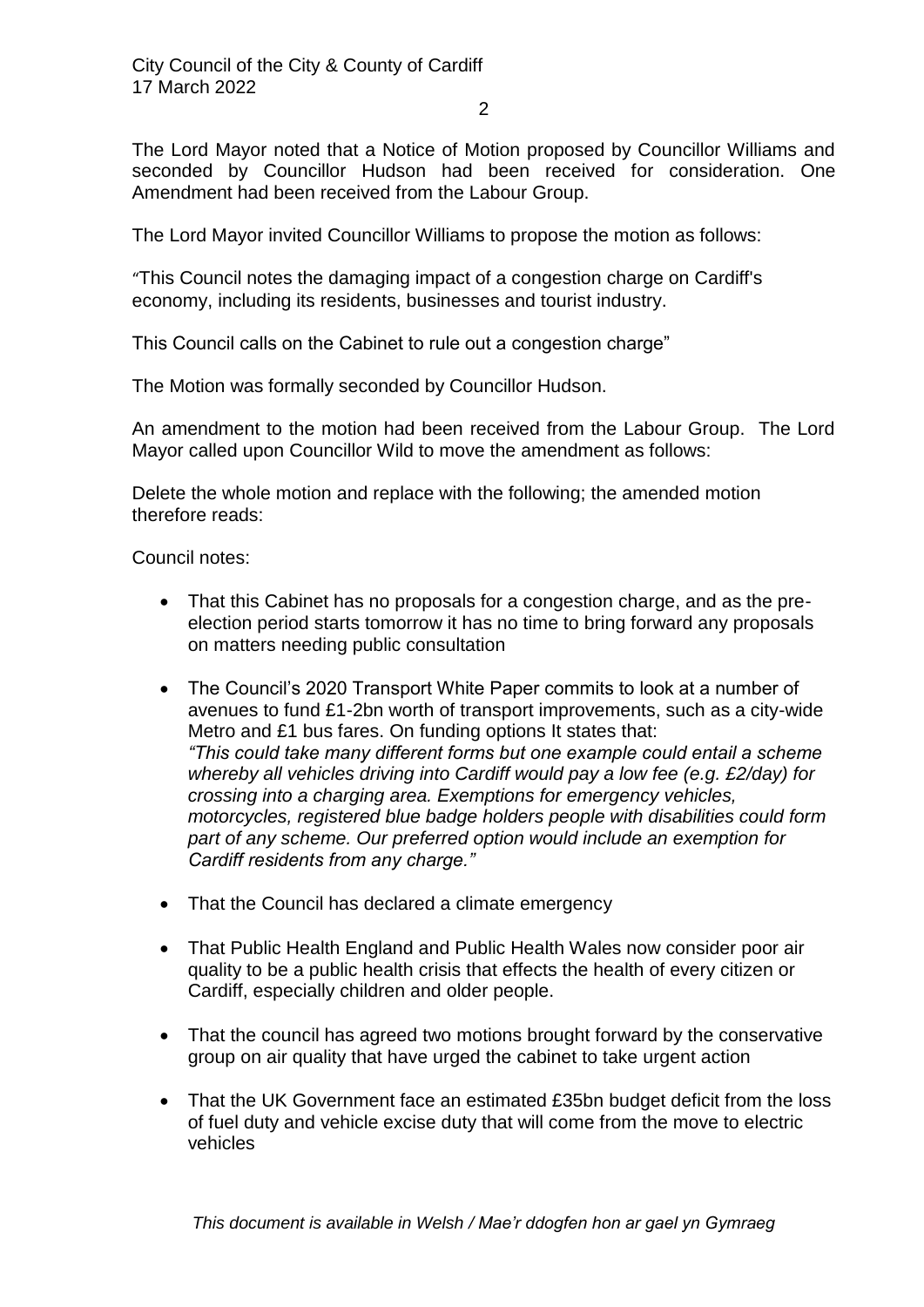2

The Lord Mayor noted that a Notice of Motion proposed by Councillor Williams and seconded by Councillor Hudson had been received for consideration. One Amendment had been received from the Labour Group.

The Lord Mayor invited Councillor Williams to propose the motion as follows:

"This Council notes the damaging impact of a congestion charge on Cardiff's economy, including its residents, businesses and tourist industry.

This Council calls on the Cabinet to rule out a congestion charge"

The Motion was formally seconded by Councillor Hudson.

An amendment to the motion had been received from the Labour Group. The Lord Mayor called upon Councillor Wild to move the amendment as follows:

Delete the whole motion and replace with the following; the amended motion therefore reads:

Council notes:

- That this Cabinet has no proposals for a congestion charge, and as the preelection period starts tomorrow it has no time to bring forward any proposals on matters needing public consultation
- The Council's 2020 Transport White Paper commits to look at a number of avenues to fund £1-2bn worth of transport improvements, such as a city-wide Metro and £1 bus fares. On funding options It states that: *"This could take many different forms but one example could entail a scheme whereby all vehicles driving into Cardiff would pay a low fee (e.g. £2/day) for crossing into a charging area. Exemptions for emergency vehicles, motorcycles, registered blue badge holders people with disabilities could form part of any scheme. Our preferred option would include an exemption for Cardiff residents from any charge."*
- That the Council has declared a climate emergency
- That Public Health England and Public Health Wales now consider poor air quality to be a public health crisis that effects the health of every citizen or Cardiff, especially children and older people.
- That the council has agreed two motions brought forward by the conservative group on air quality that have urged the cabinet to take urgent action
- That the UK Government face an estimated £35bn budget deficit from the loss of fuel duty and vehicle excise duty that will come from the move to electric vehicles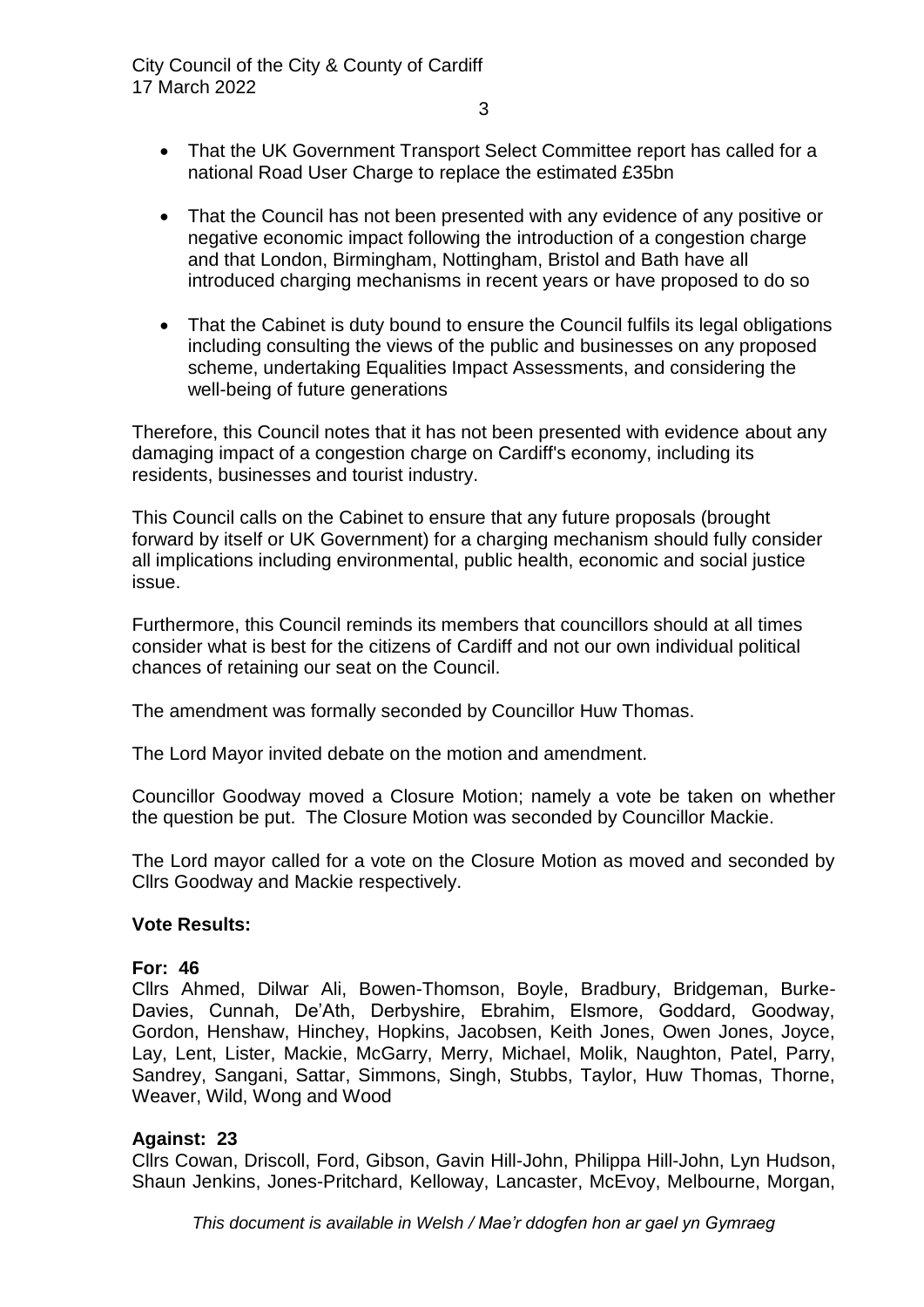- 3
- That the UK Government Transport Select Committee report has called for a national Road User Charge to replace the estimated £35bn
- That the Council has not been presented with any evidence of any positive or negative economic impact following the introduction of a congestion charge and that London, Birmingham, Nottingham, Bristol and Bath have all introduced charging mechanisms in recent years or have proposed to do so
- That the Cabinet is duty bound to ensure the Council fulfils its legal obligations including consulting the views of the public and businesses on any proposed scheme, undertaking Equalities Impact Assessments, and considering the well-being of future generations

Therefore, this Council notes that it has not been presented with evidence about any damaging impact of a congestion charge on Cardiff's economy, including its residents, businesses and tourist industry.

This Council calls on the Cabinet to ensure that any future proposals (brought forward by itself or UK Government) for a charging mechanism should fully consider all implications including environmental, public health, economic and social justice issue.

Furthermore, this Council reminds its members that councillors should at all times consider what is best for the citizens of Cardiff and not our own individual political chances of retaining our seat on the Council.

The amendment was formally seconded by Councillor Huw Thomas.

The Lord Mayor invited debate on the motion and amendment.

Councillor Goodway moved a Closure Motion; namely a vote be taken on whether the question be put. The Closure Motion was seconded by Councillor Mackie.

The Lord mayor called for a vote on the Closure Motion as moved and seconded by Cllrs Goodway and Mackie respectively.

# **Vote Results:**

# **For: 46**

Cllrs Ahmed, Dilwar Ali, Bowen-Thomson, Boyle, Bradbury, Bridgeman, Burke-Davies, Cunnah, De'Ath, Derbyshire, Ebrahim, Elsmore, Goddard, Goodway, Gordon, Henshaw, Hinchey, Hopkins, Jacobsen, Keith Jones, Owen Jones, Joyce, Lay, Lent, Lister, Mackie, McGarry, Merry, Michael, Molik, Naughton, Patel, Parry, Sandrey, Sangani, Sattar, Simmons, Singh, Stubbs, Taylor, Huw Thomas, Thorne, Weaver, Wild, Wong and Wood

# **Against: 23**

Cllrs Cowan, Driscoll, Ford, Gibson, Gavin Hill-John, Philippa Hill-John, Lyn Hudson, Shaun Jenkins, Jones-Pritchard, Kelloway, Lancaster, McEvoy, Melbourne, Morgan,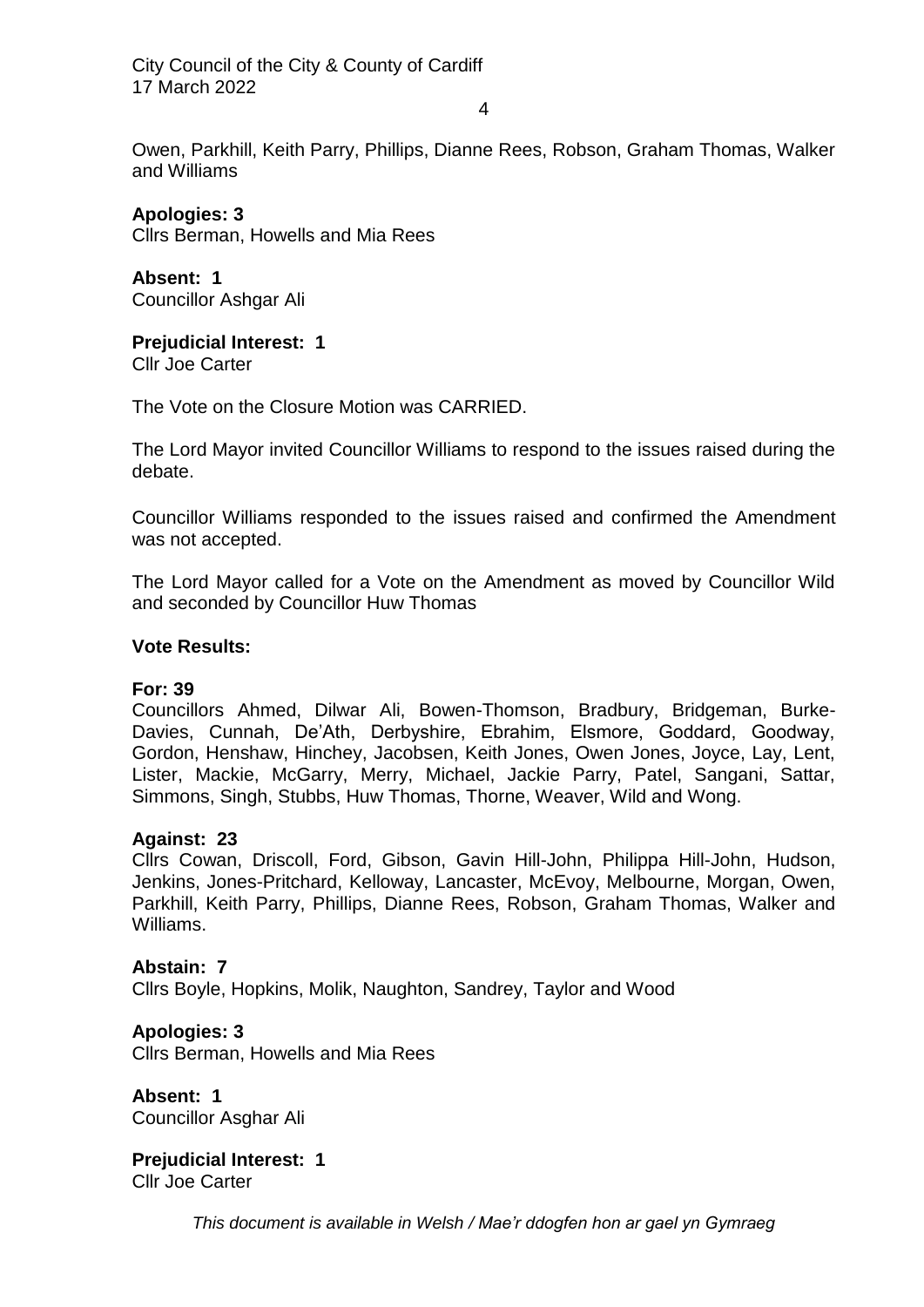City Council of the City & County of Cardiff 17 March 2022

4

Owen, Parkhill, Keith Parry, Phillips, Dianne Rees, Robson, Graham Thomas, Walker and Williams

**Apologies: 3** Cllrs Berman, Howells and Mia Rees

**Absent: 1** Councillor Ashgar Ali

**Prejudicial Interest: 1**

Cllr Joe Carter

The Vote on the Closure Motion was CARRIED.

The Lord Mayor invited Councillor Williams to respond to the issues raised during the debate.

Councillor Williams responded to the issues raised and confirmed the Amendment was not accepted.

The Lord Mayor called for a Vote on the Amendment as moved by Councillor Wild and seconded by Councillor Huw Thomas

## **Vote Results:**

#### **For: 39**

Councillors Ahmed, Dilwar Ali, Bowen-Thomson, Bradbury, Bridgeman, Burke-Davies, Cunnah, De'Ath, Derbyshire, Ebrahim, Elsmore, Goddard, Goodway, Gordon, Henshaw, Hinchey, Jacobsen, Keith Jones, Owen Jones, Joyce, Lay, Lent, Lister, Mackie, McGarry, Merry, Michael, Jackie Parry, Patel, Sangani, Sattar, Simmons, Singh, Stubbs, Huw Thomas, Thorne, Weaver, Wild and Wong.

#### **Against: 23**

Cllrs Cowan, Driscoll, Ford, Gibson, Gavin Hill-John, Philippa Hill-John, Hudson, Jenkins, Jones-Pritchard, Kelloway, Lancaster, McEvoy, Melbourne, Morgan, Owen, Parkhill, Keith Parry, Phillips, Dianne Rees, Robson, Graham Thomas, Walker and Williams.

#### **Abstain: 7**

Cllrs Boyle, Hopkins, Molik, Naughton, Sandrey, Taylor and Wood

# **Apologies: 3**

Cllrs Berman, Howells and Mia Rees

**Absent: 1** Councillor Asghar Ali

**Prejudicial Interest: 1** Cllr Joe Carter

*This document is available in Welsh / Mae'r ddogfen hon ar gael yn Gymraeg*